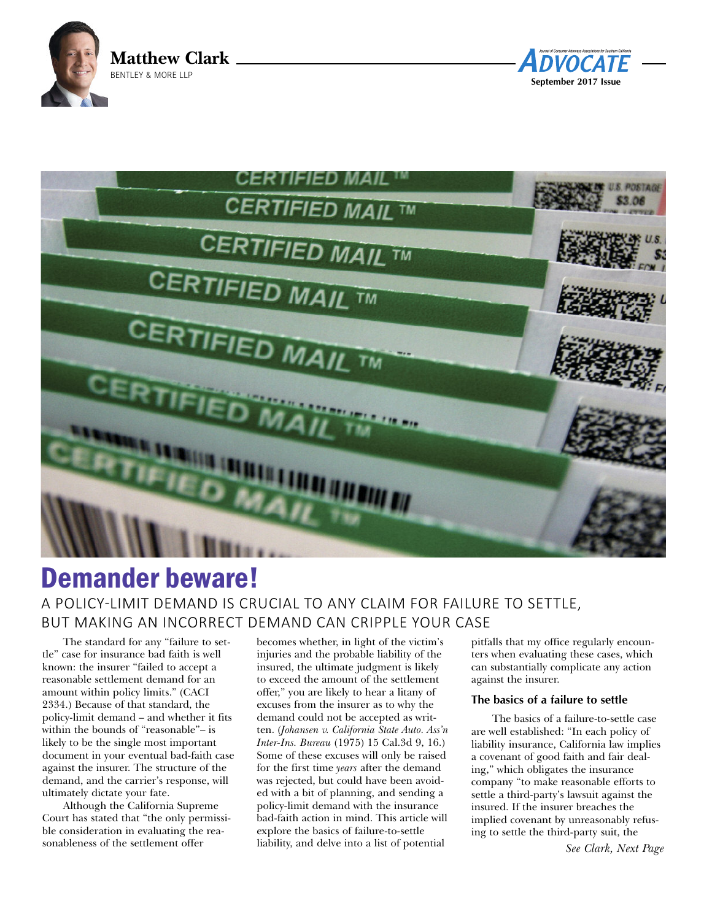





# Demander beware!

A policy-limit demAnd is cruciAl to Any clAim for fAilure to settle, but mAking An incorrect demAnd cAn cripple your cAse

The standard for any "failure to settle" case for insurance bad faith is well known: the insurer "failed to accept a reasonable settlement demand for an amount within policy limits." (CACI 2334.) Because of that standard, the policy-limit demand – and whether it fits within the bounds of "reasonable"– is likely to be the single most important document in your eventual bad-faith case against the insurer. The structure of the demand, and the carrier's response, will ultimately dictate your fate.

Although the California Supreme Court has stated that "the only permissible consideration in evaluating the reasonableness of the settlement offer

becomes whether, in light of the victim's injuries and the probable liability of the insured, the ultimate judgment is likely to exceed the amount of the settlement offer," you are likely to hear a litany of excuses from the insurer as to why the demand could not be accepted as written. (*Johansen v. California State Auto. Ass'n Inter-Ins. Bureau* (1975) 15 Cal.3d 9, 16.) Some of these excuses will only be raised for the first time *years* after the demand was rejected, but could have been avoided with a bit of planning, and sending a policy-limit demand with the insurance bad-faith action in mind. This article will explore the basics of failure-to-settle liability, and delve into a list of potential

pitfalls that my office regularly encounters when evaluating these cases, which can substantially complicate any action against the insurer.

## **The basics of a failure to settle**

The basics of a failure-to-settle case are well established: "In each policy of liability insurance, California law implies a covenant of good faith and fair dealing," which obligates the insurance company "to make reasonable efforts to settle a third-party's lawsuit against the insured. If the insurer breaches the implied covenant by unreasonably refusing to settle the third-party suit, the

*See Clark, Next Page*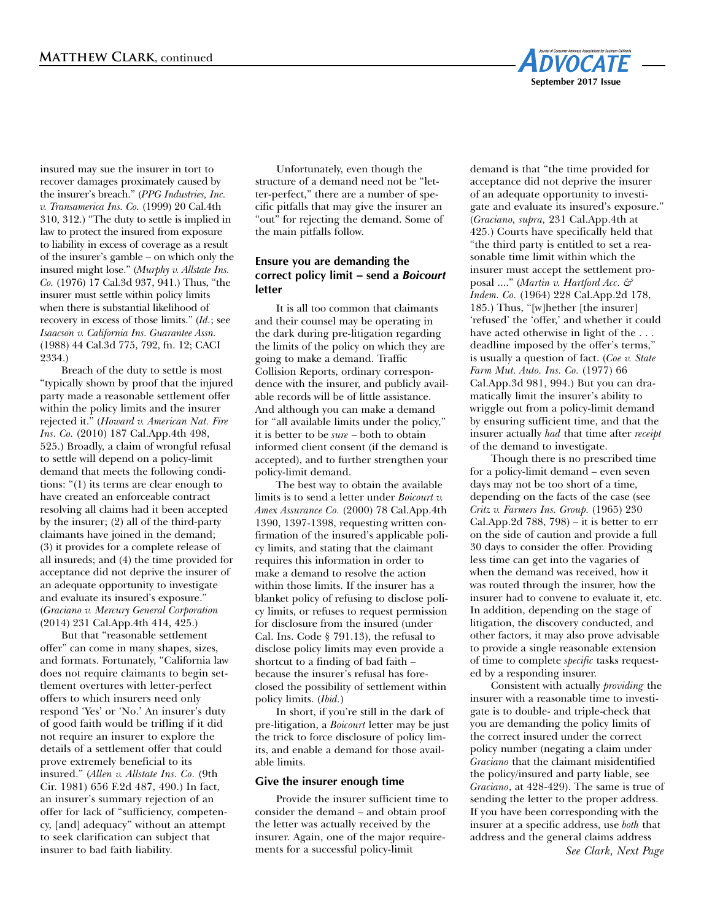

insured may sue the insurer in tort to recover damages proximately caused by the insurer's breach." (*PPG Industries, Inc. v. Transamerica Ins. Co.* (1999) 20 Cal.4th 310, 312.) "The duty to settle is implied in law to protect the insured from exposure to liability in excess of coverage as a result of the insurer's gamble – on which only the insured might lose." (*Murphy v. Allstate Ins. Co.* (1976) 17 Cal.3d 937, 941.) Thus, "the insurer must settle within policy limits when there is substantial likelihood of recovery in excess of those limits." (*Id.*; see *Isaacson v. California Ins. Guarantee Assn.* (1988) 44 Cal.3d 775, 792, fn. 12; CACI 2334.)

Breach of the duty to settle is most "typically shown by proof that the injured party made a reasonable settlement offer within the policy limits and the insurer rejected it." (*Howard v. American Nat. Fire Ins. Co.* (2010) 187 Cal.App.4th 498, 525.) Broadly, a claim of wrongful refusal to settle will depend on a policy-limit demand that meets the following conditions: "(1) its terms are clear enough to have created an enforceable contract resolving all claims had it been accepted by the insurer; (2) all of the third-party claimants have joined in the demand; (3) it provides for a complete release of all insureds; and (4) the time provided for acceptance did not deprive the insurer of an adequate opportunity to investigate and evaluate its insured's exposure." (*Graciano v. Mercury General Corporation* (2014) 231 Cal.App.4th 414, 425.)

But that "reasonable settlement offer" can come in many shapes, sizes, and formats. Fortunately, "California law does not require claimants to begin settlement overtures with letter-perfect offers to which insurers need only respond 'Yes' or 'No.' An insurer's duty of good faith would be trifling if it did not require an insurer to explore the details of a settlement offer that could prove extremely beneficial to its insured." (*Allen v. Allstate Ins. Co.* (9th Cir. 1981) 656 F.2d 487, 490.) In fact, an insurer's summary rejection of an offer for lack of "sufficiency, competency, [and] adequacy" without an attempt to seek clarification can subject that insurer to bad faith liability.

Unfortunately, even though the structure of a demand need not be "letter-perfect," there are a number of specific pitfalls that may give the insurer an "out" for rejecting the demand. Some of the main pitfalls follow.

# **Ensure you are demanding the correct policy limit – send a** *Boicourt* **letter**

It is all too common that claimants and their counsel may be operating in the dark during pre-litigation regarding the limits of the policy on which they are going to make a demand. Traffic Collision Reports, ordinary correspondence with the insurer, and publicly available records will be of little assistance. And although you can make a demand for "all available limits under the policy," it is better to be *sure* – both to obtain informed client consent (if the demand is accepted), and to further strengthen your policy-limit demand.

The best way to obtain the available limits is to send a letter under *Boicourt v. Amex Assurance Co.* (2000) 78 Cal.App.4th 1390, 1397-1398, requesting written confirmation of the insured's applicable policy limits, and stating that the claimant requires this information in order to make a demand to resolve the action within those limits. If the insurer has a blanket policy of refusing to disclose policy limits, or refuses to request permission for disclosure from the insured (under Cal. Ins. Code § 791.13), the refusal to disclose policy limits may even provide a shortcut to a finding of bad faith – because the insurer's refusal has foreclosed the possibility of settlement within policy limits. (*Ibid.*)

In short, if you're still in the dark of pre-litigation, a *Boicourt* letter may be just the trick to force disclosure of policy limits, and enable a demand for those available limits.

#### **Give the insurer enough time**

Provide the insurer sufficient time to consider the demand – and obtain proof the letter was actually received by the insurer. Again, one of the major requirements for a successful policy-limit

demand is that "the time provided for acceptance did not deprive the insurer of an adequate opportunity to investigate and evaluate its insured's exposure." (*Graciano, supra,* 231 Cal.App.4th at 425.) Courts have specifically held that "the third party is entitled to set a reasonable time limit within which the insurer must accept the settlement proposal ...." (*Martin v. Hartford Acc. & Indem. Co.* (1964) 228 Cal.App.2d 178, 185.) Thus, "[w]hether [the insurer] 'refused' the 'offer,' and whether it could have acted otherwise in light of the . . . deadline imposed by the offer's terms," is usually a question of fact. (*Coe v. State Farm Mut. Auto. Ins. Co.* (1977) 66 Cal.App.3d 981, 994.) But you can dramatically limit the insurer's ability to wriggle out from a policy-limit demand by ensuring sufficient time, and that the insurer actually *had* that time after *receipt* of the demand to investigate.

Though there is no prescribed time for a policy-limit demand – even seven days may not be too short of a time, depending on the facts of the case (see *Critz v. Farmers Ins. Group.* (1965) 230 Cal.App.2d 788, 798) – it is better to err on the side of caution and provide a full 30 days to consider the offer. Providing less time can get into the vagaries of when the demand was received, how it was routed through the insurer, how the insurer had to convene to evaluate it, etc. In addition, depending on the stage of litigation, the discovery conducted, and other factors, it may also prove advisable to provide a single reasonable extension of time to complete *specific* tasks requested by a responding insurer.

Consistent with actually *providing* the insurer with a reasonable time to investigate is to double- and triple-check that you are demanding the policy limits of the correct insured under the correct policy number (negating a claim under *Graciano* that the claimant misidentified the policy/insured and party liable, see *Graciano*, at 428-429). The same is true of sending the letter to the proper address. If you have been corresponding with the insurer at a specific address, use *both* that address and the general claims address *See Clark, Next Page*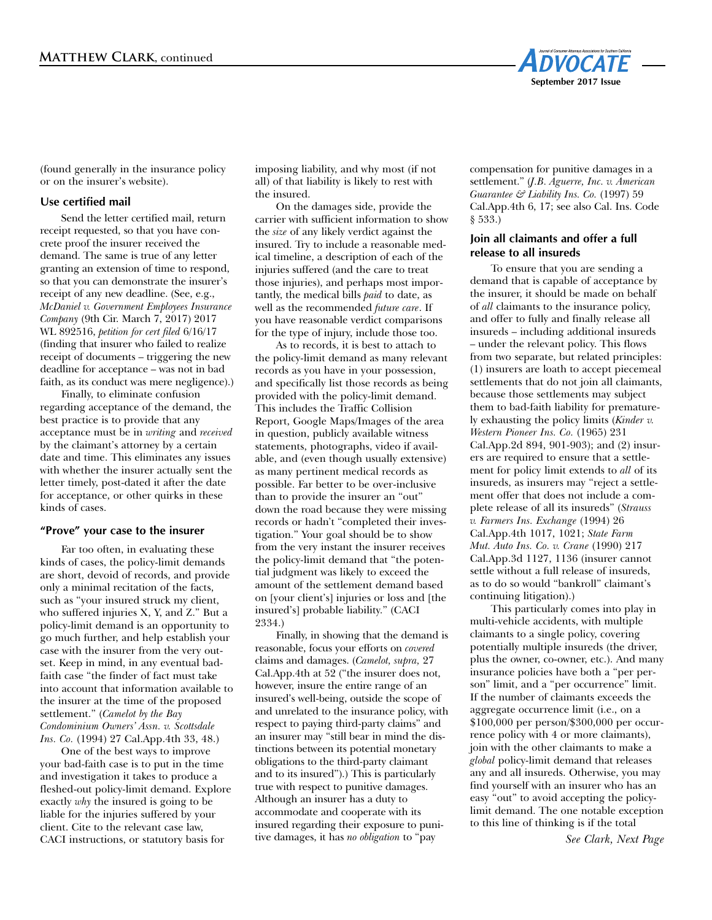

(found generally in the insurance policy or on the insurer's website).

## **Use certified mail**

Send the letter certified mail, return receipt requested, so that you have concrete proof the insurer received the demand. The same is true of any letter granting an extension of time to respond, so that you can demonstrate the insurer's receipt of any new deadline. (See, e.g., *McDaniel v. Government Employees Insurance Company* (9th Cir. March 7, 2017) 2017 WL 892516, *petition for cert filed* 6/16/17 (finding that insurer who failed to realize receipt of documents – triggering the new deadline for acceptance – was not in bad faith, as its conduct was mere negligence).)

Finally, to eliminate confusion regarding acceptance of the demand, the best practice is to provide that any acceptance must be in *writing* and *received* by the claimant's attorney by a certain date and time. This eliminates any issues with whether the insurer actually sent the letter timely, post-dated it after the date for acceptance, or other quirks in these kinds of cases.

#### **"Prove" your case to the insurer**

Far too often, in evaluating these kinds of cases, the policy-limit demands are short, devoid of records, and provide only a minimal recitation of the facts, such as "your insured struck my client, who suffered injuries X, Y, and Z." But a policy-limit demand is an opportunity to go much further, and help establish your case with the insurer from the very outset. Keep in mind, in any eventual badfaith case "the finder of fact must take into account that information available to the insurer at the time of the proposed settlement." (*Camelot by the Bay Condominium Owners' Assn. v. Scottsdale Ins. Co.* (1994) 27 Cal.App.4th 33, 48.)

One of the best ways to improve your bad-faith case is to put in the time and investigation it takes to produce a fleshed-out policy-limit demand. Explore exactly *why* the insured is going to be liable for the injuries suffered by your client. Cite to the relevant case law, CACI instructions, or statutory basis for

imposing liability, and why most (if not all) of that liability is likely to rest with the insured.

On the damages side, provide the carrier with sufficient information to show the *size* of any likely verdict against the insured. Try to include a reasonable medical timeline, a description of each of the injuries suffered (and the care to treat those injuries), and perhaps most importantly, the medical bills *paid* to date, as well as the recommended *future care*. If you have reasonable verdict comparisons for the type of injury, include those too.

As to records, it is best to attach to the policy-limit demand as many relevant records as you have in your possession, and specifically list those records as being provided with the policy-limit demand. This includes the Traffic Collision Report, Google Maps/Images of the area in question, publicly available witness statements, photographs, video if available, and (even though usually extensive) as many pertinent medical records as possible. Far better to be over-inclusive than to provide the insurer an "out" down the road because they were missing records or hadn't "completed their investigation." Your goal should be to show from the very instant the insurer receives the policy-limit demand that "the potential judgment was likely to exceed the amount of the settlement demand based on [your client's] injuries or loss and [the insured's] probable liability." (CACI 2334.)

Finally, in showing that the demand is reasonable, focus your efforts on *covered* claims and damages. (*Camelot, supra,* 27 Cal.App.4th at 52 ("the insurer does not, however, insure the entire range of an insured's well-being, outside the scope of and unrelated to the insurance policy, with respect to paying third-party claims" and an insurer may "still bear in mind the distinctions between its potential monetary obligations to the third-party claimant and to its insured").) This is particularly true with respect to punitive damages. Although an insurer has a duty to accommodate and cooperate with its insured regarding their exposure to punitive damages, it has *no obligation* to "pay

compensation for punitive damages in a settlement." (*J.B. Aguerre, Inc. v. American Guarantee & Liability Ins. Co.* (1997) 59 Cal.App.4th 6, 17; see also Cal. Ins. Code § 533.)

#### **Join all claimants and offer a full release to all insureds**

To ensure that you are sending a demand that is capable of acceptance by the insurer, it should be made on behalf of *all* claimants to the insurance policy, and offer to fully and finally release all insureds – including additional insureds – under the relevant policy. This flows from two separate, but related principles: (1) insurers are loath to accept piecemeal settlements that do not join all claimants, because those settlements may subject them to bad-faith liability for prematurely exhausting the policy limits (*Kinder v. Western Pioneer Ins. Co.* (1965) 231 Cal.App.2d 894, 901-903); and (2) insurers are required to ensure that a settlement for policy limit extends to *all* of its insureds, as insurers may "reject a settlement offer that does not include a complete release of all its insureds" (*Strauss v. Farmers Ins. Exchange* (1994) 26 Cal.App.4th 1017, 1021; *State Farm Mut. Auto Ins. Co. v. Crane* (1990) 217 Cal.App.3d 1127, 1136 (insurer cannot settle without a full release of insureds, as to do so would "bankroll" claimant's continuing litigation).)

This particularly comes into play in multi-vehicle accidents, with multiple claimants to a single policy, covering potentially multiple insureds (the driver, plus the owner, co-owner, etc.). And many insurance policies have both a "per person" limit, and a "per occurrence" limit. If the number of claimants exceeds the aggregate occurrence limit (i.e., on a \$100,000 per person/\$300,000 per occurrence policy with 4 or more claimants), join with the other claimants to make a *global* policy-limit demand that releases any and all insureds. Otherwise, you may find yourself with an insurer who has an easy "out" to avoid accepting the policylimit demand. The one notable exception to this line of thinking is if the total

*See Clark, Next Page*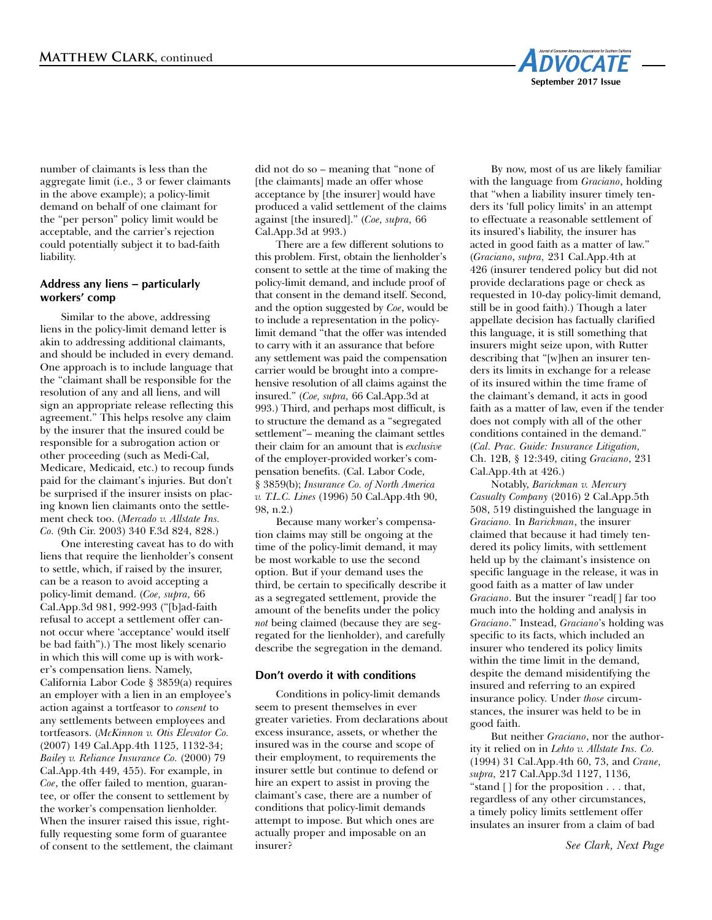

number of claimants is less than the aggregate limit (i.e., 3 or fewer claimants in the above example); a policy-limit demand on behalf of one claimant for the "per person" policy limit would be acceptable, and the carrier's rejection could potentially subject it to bad-faith liability.

# **Address any liens – particularly workers' comp**

Similar to the above, addressing liens in the policy-limit demand letter is akin to addressing additional claimants, and should be included in every demand. One approach is to include language that the "claimant shall be responsible for the resolution of any and all liens, and will sign an appropriate release reflecting this agreement." This helps resolve any claim by the insurer that the insured could be responsible for a subrogation action or other proceeding (such as Medi-Cal, Medicare, Medicaid, etc.) to recoup funds paid for the claimant's injuries. But don't be surprised if the insurer insists on placing known lien claimants onto the settlement check too. (*Mercado v. Allstate Ins. Co.* (9th Cir. 2003) 340 F.3d 824, 828.)

One interesting caveat has to do with liens that require the lienholder's consent to settle, which, if raised by the insurer, can be a reason to avoid accepting a policy-limit demand. (*Coe, supra,* 66 Cal.App.3d 981, 992-993 ("[b]ad-faith refusal to accept a settlement offer cannot occur where 'acceptance' would itself be bad faith").) The most likely scenario in which this will come up is with worker's compensation liens. Namely, California Labor Code § 3859(a) requires an employer with a lien in an employee's action against a tortfeasor to *consent* to any settlements between employees and tortfeasors. (*McKinnon v. Otis Elevator Co.* (2007) 149 Cal.App.4th 1125, 1132-34; *Bailey v. Reliance Insurance Co.* (2000) 79 Cal.App.4th 449, 455). For example, in *Coe*, the offer failed to mention, guarantee, or offer the consent to settlement by the worker's compensation lienholder. When the insurer raised this issue, rightfully requesting some form of guarantee of consent to the settlement, the claimant did not do so – meaning that "none of [the claimants] made an offer whose acceptance by [the insurer] would have produced a valid settlement of the claims against [the insured]." (*Coe, supra,* 66 Cal.App.3d at 993.)

There are a few different solutions to this problem. First, obtain the lienholder's consent to settle at the time of making the policy-limit demand, and include proof of that consent in the demand itself. Second, and the option suggested by *Coe*, would be to include a representation in the policylimit demand "that the offer was intended to carry with it an assurance that before any settlement was paid the compensation carrier would be brought into a comprehensive resolution of all claims against the insured." (*Coe, supra,* 66 Cal.App.3d at 993.) Third, and perhaps most difficult, is to structure the demand as a "segregated settlement"– meaning the claimant settles their claim for an amount that is *exclusive* of the employer-provided worker's compensation benefits. (Cal. Labor Code, § 3859(b); *Insurance Co. of North America v. T.L.C. Lines* (1996) 50 Cal.App.4th 90, 98, n.2.)

Because many worker's compensation claims may still be ongoing at the time of the policy-limit demand, it may be most workable to use the second option. But if your demand uses the third, be certain to specifically describe it as a segregated settlement, provide the amount of the benefits under the policy *not* being claimed (because they are segregated for the lienholder), and carefully describe the segregation in the demand.

# **Don't overdo it with conditions**

Conditions in policy-limit demands seem to present themselves in ever greater varieties. From declarations about excess insurance, assets, or whether the insured was in the course and scope of their employment, to requirements the insurer settle but continue to defend or hire an expert to assist in proving the claimant's case, there are a number of conditions that policy-limit demands attempt to impose. But which ones are actually proper and imposable on an insurer?

By now, most of us are likely familiar with the language from *Graciano*, holding that "when a liability insurer timely tenders its 'full policy limits' in an attempt to effectuate a reasonable settlement of its insured's liability, the insurer has acted in good faith as a matter of law." (*Graciano*, *supra,* 231 Cal.App.4th at 426 (insurer tendered policy but did not provide declarations page or check as requested in 10-day policy-limit demand, still be in good faith).) Though a later appellate decision has factually clarified this language, it is still something that insurers might seize upon, with Rutter describing that "[w]hen an insurer tenders its limits in exchange for a release of its insured within the time frame of the claimant's demand, it acts in good faith as a matter of law, even if the tender does not comply with all of the other conditions contained in the demand." (*Cal. Prac. Guide: Insurance Litigation,* Ch. 12B, § 12:349, citing *Graciano*, 231 Cal.App.4th at 426.)

Notably, *Barickman v. Mercury Casualty Company* (2016) 2 Cal.App.5th 508, 519 distinguished the language in *Graciano.* In *Barickman*, the insurer claimed that because it had timely tendered its policy limits, with settlement held up by the claimant's insistence on specific language in the release, it was in good faith as a matter of law under *Graciano*. But the insurer "read[] far too much into the holding and analysis in *Graciano*." Instead, *Graciano*'s holding was specific to its facts, which included an insurer who tendered its policy limits within the time limit in the demand, despite the demand misidentifying the insured and referring to an expired insurance policy. Under *those* circumstances, the insurer was held to be in good faith.

But neither *Graciano*, nor the authority it relied on in *Lehto v. Allstate Ins. Co.* (1994) 31 Cal.App.4th 60, 73, and *Crane, supra,* 217 Cal.App.3d 1127, 1136, "stand [ ] for the proposition . . . that, regardless of any other circumstances, a timely policy limits settlement offer insulates an insurer from a claim of bad

*See Clark, Next Page*